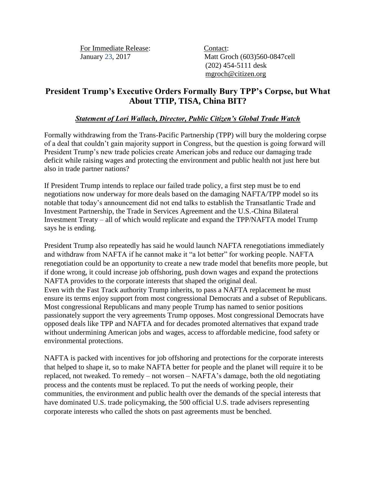For Immediate Release: Contact:

January 23, 2017 Matt Groch (603)560-0847cell (202) 454-5111 desk [mgroch@citizen.org](mailto:mgroch@citizen.org)

## **President Trump's Executive Orders Formally Bury TPP's Corpse, but What About TTIP, TISA, China BIT?**

## *Statement of Lori Wallach, Director, Public Citizen's Global Trade Watch*

Formally withdrawing from the Trans-Pacific Partnership (TPP) will bury the moldering corpse of a deal that couldn't gain majority support in Congress, but the question is going forward will President Trump's new trade policies create American jobs and reduce our damaging trade deficit while raising wages and protecting the environment and public health not just here but also in trade partner nations?

If President Trump intends to replace our failed trade policy, a first step must be to end negotiations now underway for more deals based on the damaging NAFTA/TPP model so its notable that today's announcement did not end talks to establish the Transatlantic Trade and Investment Partnership, the Trade in Services Agreement and the U.S.-China Bilateral Investment Treaty – all of which would replicate and expand the TPP/NAFTA model Trump says he is ending.

President Trump also repeatedly has said he would launch NAFTA renegotiations immediately and withdraw from NAFTA if he cannot make it "a lot better" for working people. NAFTA renegotiation could be an opportunity to create a new trade model that benefits more people, but if done wrong, it could increase job offshoring, push down wages and expand the protections NAFTA provides to the corporate interests that shaped the original deal. Even with the Fast Track authority Trump inherits, to pass a NAFTA replacement he must ensure its terms enjoy support from most congressional Democrats and a subset of Republicans. Most congressional Republicans and many people Trump has named to senior positions passionately support the very agreements Trump opposes. Most congressional Democrats have opposed deals like TPP and NAFTA and for decades promoted alternatives that expand trade without undermining American jobs and wages, access to affordable medicine, food safety or environmental protections.

NAFTA is packed with incentives for job offshoring and protections for the corporate interests that helped to shape it, so to make NAFTA better for people and the planet will require it to be replaced, not tweaked. To remedy – not worsen – NAFTA's damage, both the old negotiating process and the contents must be replaced. To put the needs of working people, their communities, the environment and public health over the demands of the special interests that have dominated U.S. trade policymaking, the 500 official U.S. trade advisers representing corporate interests who called the shots on past agreements must be benched.